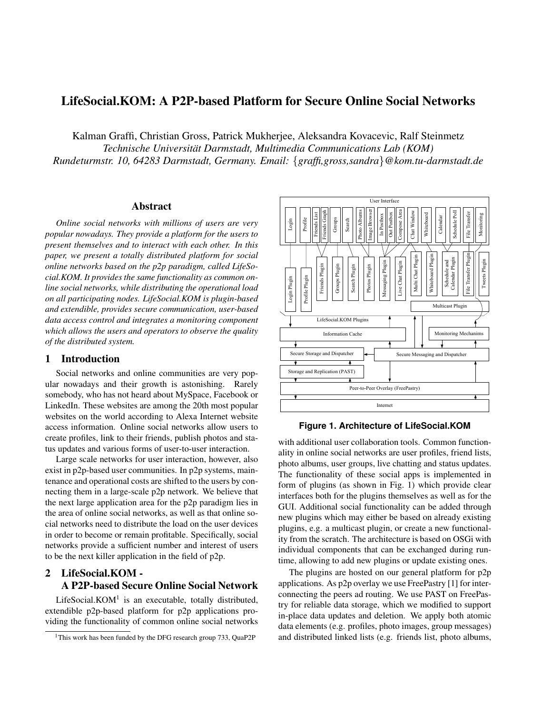# **LifeSocial.KOM: A P2P-based Platform for Secure Online Social Networks**

Kalman Graffi, Christian Gross, Patrick Mukherjee, Aleksandra Kovacevic, Ralf Steinmetz

*Technische Universitat Darmstadt, Multimedia Communications Lab (KOM) ¨*

*Rundeturmstr. 10, 64283 Darmstadt, Germany. Email:* {*graffi,gross,sandra*}*@kom.tu-darmstadt.de*

### **Abstract**

*Online social networks with millions of users are very popular nowadays. They provide a platform for the users to present themselves and to interact with each other. In this paper, we present a totally distributed platform for social online networks based on the p2p paradigm, called LifeSocial.KOM. It provides the same functionality as common online social networks, while distributing the operational load on all participating nodes. LifeSocial.KOM is plugin-based and extendible, provides secure communication, user-based data access control and integrates a monitoring component which allows the users and operators to observe the quality of the distributed system.*

# **1 Introduction**

Social networks and online communities are very popular nowadays and their growth is astonishing. Rarely somebody, who has not heard about MySpace, Facebook or LinkedIn. These websites are among the 20th most popular websites on the world according to Alexa Internet website access information. Online social networks allow users to create profiles, link to their friends, publish photos and status updates and various forms of user-to-user interaction.

Large scale networks for user interaction, however, also exist in p2p-based user communities. In p2p systems, maintenance and operational costs are shifted to the users by connecting them in a large-scale p2p network. We believe that the next large application area for the p2p paradigm lies in the area of online social networks, as well as that online social networks need to distribute the load on the user devices in order to become or remain profitable. Specifically, social networks provide a sufficient number and interest of users to be the next killer application in the field of p2p.

# **2 LifeSocial.KOM - A P2P-based Secure Online Social Network**

LifeSocial. $KOM<sup>1</sup>$  is an executable, totally distributed, extendible p2p-based platform for p2p applications providing the functionality of common online social networks



**Figure 1. Architecture of LifeSocial.KOM**

with additional user collaboration tools. Common functionality in online social networks are user profiles, friend lists, photo albums, user groups, live chatting and status updates. The functionality of these social apps is implemented in form of plugins (as shown in Fig. 1) which provide clear interfaces both for the plugins themselves as well as for the GUI. Additional social functionality can be added through new plugins which may either be based on already existing plugins, e.g. a multicast plugin, or create a new functionality from the scratch. The architecture is based on OSGi with individual components that can be exchanged during runtime, allowing to add new plugins or update existing ones.

The plugins are hosted on our general platform for p2p applications. As p2p overlay we use FreePastry [1] for interconnecting the peers ad routing. We use PAST on FreePastry for reliable data storage, which we modified to support in-place data updates and deletion. We apply both atomic data elements (e.g. profiles, photo images, group messages) and distributed linked lists (e.g. friends list, photo albums,

<sup>&</sup>lt;sup>1</sup>This work has been funded by the DFG research group 733, QuaP2P